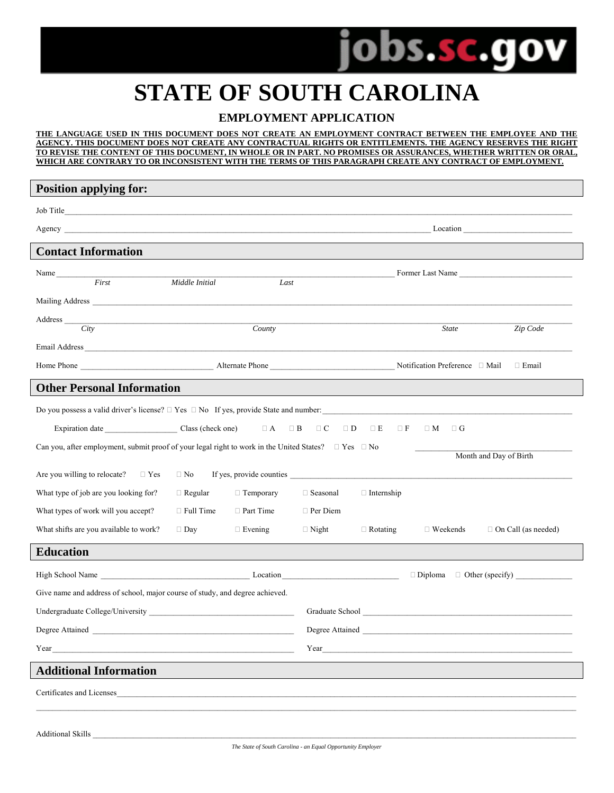

## **STATE OF SOUTH CAROLINA**

### **EMPLOYMENT APPLICATION**

#### **THE LANGUAGE USED IN THIS DOCUMENT DOES NOT CREATE AN EMPLOYMENT CONTRACT BETWEEN THE EMPLOYEE AND THE AGENCY. THIS DOCUMENT DOES NOT CREATE ANY CONTRACTUAL RIGHTS OR ENTITLEMENTS. THE AGENCY RESERVES THE RIGHT TO REVISE THE CONTENT OF THIS DOCUMENT, IN WHOLE OR IN PART. NO PROMISES OR ASSURANCES, WHETHER WRITTEN OR ORAL, WHICH ARE CONTRARY TO OR INCONSISTENT WITH THE TERMS OF THIS PARAGRAPH CREATE ANY CONTRACT OF EMPLOYMENT.**

| <b>Position applying for:</b>                                                                                                                                                                                                  |                        |                      |                 |                   |                   |                            |
|--------------------------------------------------------------------------------------------------------------------------------------------------------------------------------------------------------------------------------|------------------------|----------------------|-----------------|-------------------|-------------------|----------------------------|
|                                                                                                                                                                                                                                |                        |                      |                 |                   |                   |                            |
| Agency Location by the contract of the contract of the contract of the contract of the contract of the contract of the contract of the contract of the contract of the contract of the contract of the contract of the contrac |                        |                      |                 |                   |                   |                            |
| <b>Contact Information</b>                                                                                                                                                                                                     |                        |                      |                 |                   |                   |                            |
| Name                                                                                                                                                                                                                           |                        |                      |                 |                   |                   | Former Last Name           |
| First                                                                                                                                                                                                                          | Middle Initial         | Last                 |                 |                   |                   |                            |
|                                                                                                                                                                                                                                |                        |                      |                 |                   |                   |                            |
| Citv                                                                                                                                                                                                                           |                        | $\overline{Country}$ |                 |                   | State             | Zip Code                   |
|                                                                                                                                                                                                                                |                        |                      |                 |                   |                   |                            |
|                                                                                                                                                                                                                                |                        |                      |                 |                   |                   |                            |
| <b>Other Personal Information</b>                                                                                                                                                                                              |                        |                      |                 |                   |                   |                            |
| Do you possess a valid driver's license? $\Box$ Yes $\Box$ No If yes, provide State and number:                                                                                                                                |                        |                      |                 |                   |                   |                            |
| Expiration date Class (check one) $\Box A$ $\Box B$ $\Box C$ $\Box D$ $\Box E$                                                                                                                                                 |                        |                      |                 | $\Box$ F          | $\Box M$ $\Box G$ |                            |
| Can you, after employment, submit proof of your legal right to work in the United States? $\Box$ Yes $\Box$ No                                                                                                                 |                        |                      |                 |                   |                   |                            |
|                                                                                                                                                                                                                                | Month and Day of Birth |                      |                 |                   |                   |                            |
| Are you willing to relocate? $\square$ Yes                                                                                                                                                                                     | $\Box$ No              |                      |                 |                   |                   |                            |
| What type of job are you looking for?                                                                                                                                                                                          | $\Box$ Regular         | $\Box$ Temporary     | $\Box$ Seasonal | $\Box$ Internship |                   |                            |
| What types of work will you accept?                                                                                                                                                                                            | $\Box$ Full Time       | $\Box$ Part Time     | $\Box$ Per Diem |                   |                   |                            |
| What shifts are you available to work?                                                                                                                                                                                         | $\Box$ Day             | $\Box$ Evening       | $\Box$ Night    | $\Box$ Rotating   | $\Box$ Weekends   | $\Box$ On Call (as needed) |
| <b>Education</b>                                                                                                                                                                                                               |                        |                      |                 |                   |                   |                            |
|                                                                                                                                                                                                                                |                        |                      |                 |                   |                   |                            |
| Give name and address of school, major course of study, and degree achieved.                                                                                                                                                   |                        |                      |                 |                   |                   |                            |
|                                                                                                                                                                                                                                |                        |                      |                 |                   |                   |                            |
| Degree Attained                                                                                                                                                                                                                |                        |                      | Degree Attained |                   |                   |                            |
| Year<br><u> 1989 - Andrea Santa Alemania, amerikana amerikana amerikana amerikana amerikana amerikana amerikana amerikan</u>                                                                                                   |                        |                      |                 |                   |                   | $Year$ $\qquad \qquad$     |
| <b>Additional Information</b>                                                                                                                                                                                                  |                        |                      |                 |                   |                   |                            |
| Certificates and Licenses                                                                                                                                                                                                      |                        |                      |                 |                   |                   |                            |
|                                                                                                                                                                                                                                |                        |                      |                 |                   |                   |                            |
|                                                                                                                                                                                                                                |                        |                      |                 |                   |                   |                            |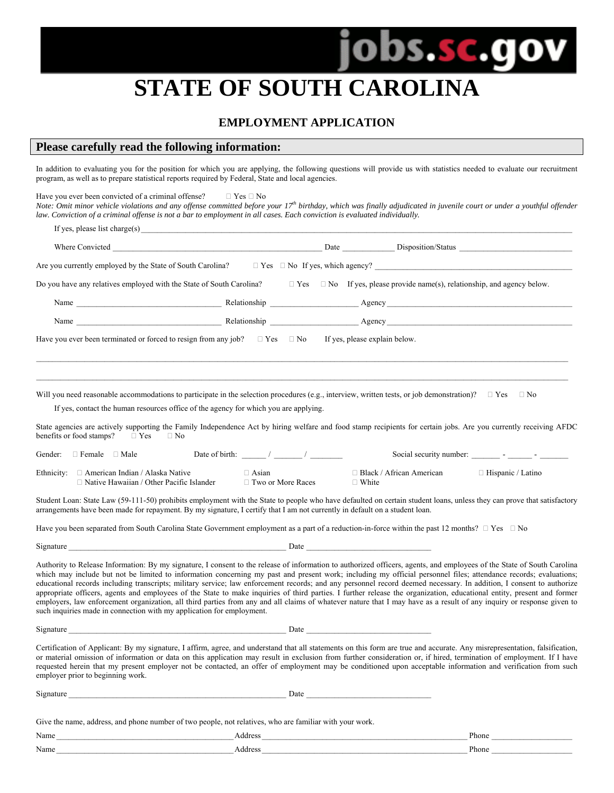# **STATE OF SOUTH CAROLINA**

obs.sc.go

#### **EMPLOYMENT APPLICATION**

#### **Please carefully read the following information:**

In addition to evaluating you for the position for which you are applying, the following questions will provide us with statistics needed to evaluate our recruitment program, as well as to prepare statistical reports required by Federal, State and local agencies.

Have you ever been convicted of a criminal offense?  $\Box$  Yes  $\Box$  No *Note:* Omit minor vehicle violations and any offense committed before your 17<sup>th</sup> birthday, which was finally adjudicated in juvenile court or under a youthful offender

*law. Conviction of a criminal offense is not a bar to employment in all cases. Each conviction is evaluated individually.*  If yes, please list charge $(s)$ Where Convicted Later and the Convicted Later and the Disposition Catalogue Disposition Catalogue Disposition Catalogue Disposition Catalogue Disposition Catalogue Disposition Catalogue Disposition Catalogue Disposition Ca Are you currently employed by the State of South Carolina?  $\Box$  Yes  $\Box$  No If yes, which agency? Do you have any relatives employed with the State of South Carolina?  $\Box$  Yes  $\Box$  No If yes, please provide name(s), relationship, and agency below. Name \_\_\_\_\_\_\_\_\_\_\_\_\_\_\_\_\_\_\_\_\_\_\_\_\_\_\_\_\_\_\_\_\_\_\_\_ Relationship \_\_\_\_\_\_\_\_\_\_\_\_\_\_\_\_\_\_\_\_\_\_ Agency \_\_\_\_\_\_\_\_\_\_\_\_\_\_\_\_\_\_\_\_\_\_\_\_\_\_\_\_\_\_\_\_\_\_\_\_\_\_\_\_\_\_\_\_\_\_ Name \_\_\_\_\_\_\_\_\_\_\_\_\_\_\_\_\_\_\_\_\_\_\_\_\_\_\_\_\_\_\_\_\_\_\_\_ Relationship \_\_\_\_\_\_\_\_\_\_\_\_\_\_\_\_\_\_\_\_\_\_ Agency \_\_\_\_\_\_\_\_\_\_\_\_\_\_\_\_\_\_\_\_\_\_\_\_\_\_\_\_\_\_\_\_\_\_\_\_\_\_\_\_\_\_\_\_\_\_

Have you ever been terminated or forced to resign from any job?  $\Box$  Yes  $\Box$  No If yes, please explain below.

Will you need reasonable accommodations to participate in the selection procedures (e.g., interview, written tests, or job demonstration)?  $\Box$  Yes  $\Box$  No

If yes, contact the human resources office of the agency for which you are applying.

State agencies are actively supporting the Family Independence Act by hiring welfare and food stamp recipients for certain jobs. Are you currently receiving AFDC benefits or food stamps?  $\Box$  Yes  $\Box$  No

 $\_$  , and the state of the state of the state of the state of the state of the state of the state of the state of the state of the state of the state of the state of the state of the state of the state of the state of the  $\_$  , and the state of the state of the state of the state of the state of the state of the state of the state of the state of the state of the state of the state of the state of the state of the state of the state of the

| Gender: | ⊤ Male<br>Female                                                                                | Date of birth: |                              | Social security number:             | $\overline{\phantom{0}}$ |
|---------|-------------------------------------------------------------------------------------------------|----------------|------------------------------|-------------------------------------|--------------------------|
|         | Ethnicity: $\Box$ American Indian / Alaska Native<br>□ Native Hawaiian / Other Pacific Islander |                | Asian<br>⊤ Two or More Races | □ Black / African American<br>White | $\Box$ Hispanic / Latino |

Student Loan: State Law (59-111-50) prohibits employment with the State to people who have defaulted on certain student loans, unless they can prove that satisfactory arrangements have been made for repayment. By my signature, I certify that I am not currently in default on a student loan.

Have you been separated from South Carolina State Government employment as a part of a reduction-in-force within the past 12 months?  $\Box$  Yes  $\Box$  No

 $\Box$  Signature  $\Box$ 

Authority to Release Information: By my signature, I consent to the release of information to authorized officers, agents, and employees of the State of South Carolina which may include but not be limited to information concerning my past and present work; including my official personnel files; attendance records; evaluations; educational records including transcripts; military service; law enforcement records; and any personnel record deemed necessary. In addition, I consent to authorize appropriate officers, agents and employees of the State to make inquiries of third parties. I further release the organization, educational entity, present and former employers, law enforcement organization, all third parties from any and all claims of whatever nature that I may have as a result of any inquiry or response given to such inquiries made in connection with my application for employment.

Signature \_\_\_\_\_\_\_\_\_\_\_\_\_\_\_\_\_\_\_\_\_\_\_\_\_\_\_\_\_\_\_\_\_\_\_\_\_\_\_\_\_\_\_\_\_\_\_\_\_\_\_\_\_\_ Date \_\_\_\_\_\_\_\_\_\_\_\_\_\_\_\_\_\_\_\_\_\_\_\_\_\_\_\_\_\_\_

Certification of Applicant: By my signature, I affirm, agree, and understand that all statements on this form are true and accurate. Any misrepresentation, falsification, or material omission of information or data on this application may result in exclusion from further consideration or, if hired, termination of employment. If I have requested herein that my present employer not be contacted, an offer of employment may be conditioned upon acceptable information and verification from such employer prior to beginning work.

| Signature                                                                                               | Date    |       |
|---------------------------------------------------------------------------------------------------------|---------|-------|
|                                                                                                         |         |       |
| Give the name, address, and phone number of two people, not relatives, who are familiar with your work. |         |       |
| Name                                                                                                    | Address | Phone |

Name and the set of the set of the set of the set of the set of the set of the set of the set of the set of the set of the set of the set of the set of the set of the set of the set of the set of the set of the set of the